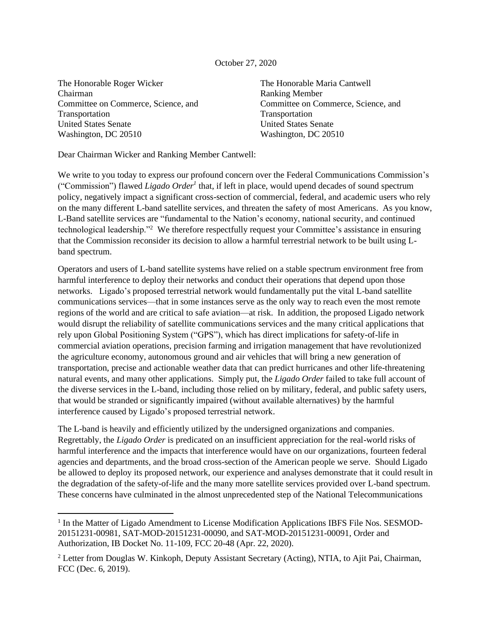## October 27, 2020

The Honorable Roger Wicker Chairman Committee on Commerce, Science, and Transportation United States Senate Washington, DC 20510

The Honorable Maria Cantwell Ranking Member Committee on Commerce, Science, and Transportation United States Senate Washington, DC 20510

Dear Chairman Wicker and Ranking Member Cantwell:

We write to you today to express our profound concern over the Federal Communications Commission's ("Commission") flawed *Ligado Order<sup>1</sup>* that, if left in place, would upend decades of sound spectrum policy, negatively impact a significant cross-section of commercial, federal, and academic users who rely on the many different L-band satellite services, and threaten the safety of most Americans. As you know, L-Band satellite services are "fundamental to the Nation's economy, national security, and continued technological leadership."<sup>2</sup> We therefore respectfully request your Committee's assistance in ensuring that the Commission reconsider its decision to allow a harmful terrestrial network to be built using Lband spectrum.

Operators and users of L-band satellite systems have relied on a stable spectrum environment free from harmful interference to deploy their networks and conduct their operations that depend upon those networks. Ligado's proposed terrestrial network would fundamentally put the vital L-band satellite communications services—that in some instances serve as the only way to reach even the most remote regions of the world and are critical to safe aviation—at risk. In addition, the proposed Ligado network would disrupt the reliability of satellite communications services and the many critical applications that rely upon Global Positioning System ("GPS"), which has direct implications for safety-of-life in commercial aviation operations, precision farming and irrigation management that have revolutionized the agriculture economy, autonomous ground and air vehicles that will bring a new generation of transportation, precise and actionable weather data that can predict hurricanes and other life-threatening natural events, and many other applications. Simply put, the *Ligado Order* failed to take full account of the diverse services in the L-band, including those relied on by military, federal, and public safety users, that would be stranded or significantly impaired (without available alternatives) by the harmful interference caused by Ligado's proposed terrestrial network.

The L-band is heavily and efficiently utilized by the undersigned organizations and companies. Regrettably, the *Ligado Order* is predicated on an insufficient appreciation for the real-world risks of harmful interference and the impacts that interference would have on our organizations, fourteen federal agencies and departments, and the broad cross-section of the American people we serve. Should Ligado be allowed to deploy its proposed network, our experience and analyses demonstrate that it could result in the degradation of the safety-of-life and the many more satellite services provided over L-band spectrum. These concerns have culminated in the almost unprecedented step of the National Telecommunications

<sup>&</sup>lt;sup>1</sup> In the Matter of Ligado Amendment to License Modification Applications IBFS File Nos. SESMOD-20151231-00981, SAT-MOD-20151231-00090, and SAT-MOD-20151231-00091, Order and Authorization, IB Docket No. 11-109, FCC 20-48 (Apr. 22, 2020).

<sup>2</sup> Letter from Douglas W. Kinkoph, Deputy Assistant Secretary (Acting), NTIA, to Ajit Pai, Chairman, FCC (Dec. 6, 2019).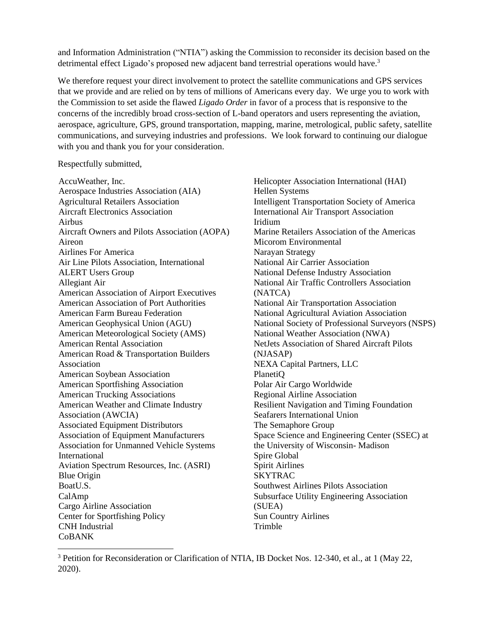and Information Administration ("NTIA") asking the Commission to reconsider its decision based on the detrimental effect Ligado's proposed new adjacent band terrestrial operations would have.<sup>3</sup>

We therefore request your direct involvement to protect the satellite communications and GPS services that we provide and are relied on by tens of millions of Americans every day. We urge you to work with the Commission to set aside the flawed *Ligado Order* in favor of a process that is responsive to the concerns of the incredibly broad cross-section of L-band operators and users representing the aviation, aerospace, agriculture, GPS, ground transportation, mapping, marine, metrological, public safety, satellite communications, and surveying industries and professions. We look forward to continuing our dialogue with you and thank you for your consideration.

## Respectfully submitted,

AccuWeather, Inc. Aerospace Industries Association (AIA) Agricultural Retailers Association Aircraft Electronics Association Airbus Aircraft Owners and Pilots Association (AOPA) Aireon Airlines For America Air Line Pilots Association, International ALERT Users Group Allegiant Air American Association of Airport Executives American Association of Port Authorities American Farm Bureau Federation American Geophysical Union (AGU) American Meteorological Society (AMS) American Rental Association American Road & Transportation Builders Association American Soybean Association American Sportfishing Association American Trucking Associations American Weather and Climate Industry Association (AWCIA) Associated Equipment Distributors Association of Equipment Manufacturers Association for Unmanned Vehicle Systems International Aviation Spectrum Resources, Inc. (ASRI) Blue Origin BoatU.S. CalAmp Cargo Airline Association Center for Sportfishing Policy CNH Industrial CoBANK

Helicopter Association International (HAI) Hellen Systems Intelligent Transportation Society of America International Air Transport Association Iridium Marine Retailers Association of the Americas Micorom Environmental Narayan Strategy National Air Carrier Association National Defense Industry Association National Air Traffic Controllers Association (NATCA) National Air Transportation Association National Agricultural Aviation Association National Society of Professional Surveyors (NSPS) National Weather Association (NWA) NetJets Association of Shared Aircraft Pilots (NJASAP) NEXA Capital Partners, LLC PlanetiQ Polar Air Cargo Worldwide Regional Airline Association Resilient Navigation and Timing Foundation Seafarers International Union The Semaphore Group Space Science and Engineering Center (SSEC) at the University of Wisconsin- Madison Spire Global Spirit Airlines SKYTRAC Southwest Airlines Pilots Association Subsurface Utility Engineering Association (SUEA) Sun Country Airlines Trimble

<sup>3</sup> Petition for Reconsideration or Clarification of NTIA, IB Docket Nos. 12-340, et al., at 1 (May 22, 2020).